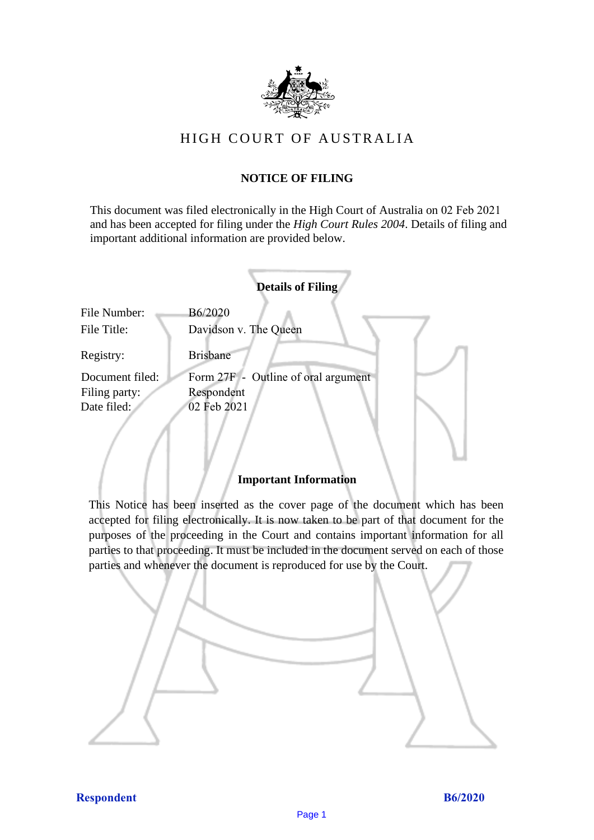

# HIGH COURT OF AU STRALIA HIGH COURT OF AUSTRALIA

## **NOTICE OF FILING** NOTICE OF FILING

This document was filed electronically in the High Court of Australia on 02 Feb 2021 and has been accepted for filing under the *High Court Rules 2004*. Details of filing and important additional information are provided below. important additional information are provided below.

|                             | <b>Details of Filing</b>            |
|-----------------------------|-------------------------------------|
| File Number:<br>File Title: | B6/2020<br>Davidson v. The Queen    |
| Registry:                   | <b>Brisbane</b>                     |
| Document filed:             | Form 27F - Outline of oral argument |
| Filing party:               | Respondent                          |
| Date filed:                 | 02 Feb 2021                         |
|                             |                                     |

### **Important Information** Important Information

This Notice has been inserted as the cover page of the document which has been accepted for filing electronically. It is now taken to be part of that document for the purposes of the proceeding in the Court and contains important information for all parties to that proceeding. It must be included in the document served on each of those parties and whenever the document is reproduced for use by the Court. parties and whenever the document is reproduced for use by the Court

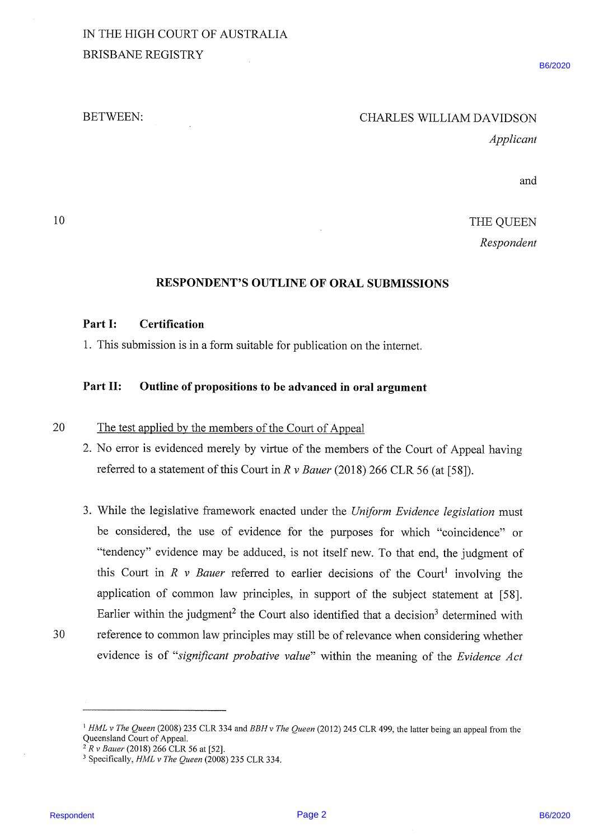# BETWEEN: CHARLES WILLIAM DAVIDSON

Applicant

and

## 10 THE QUEEN

Respondent

#### RESPONDENT'S OUTLINE OF ORAL SUBMISSIONS

#### Part I: Certification

1. This submission is in a form suitable for publication on the internet.

## Part II: Outline of propositions to be advanced in oral argument

20 The test applied by the members of the Court of Appeal

- 2. No error is evidenced merely by virtue of the members of the Court of Appeal having referred to a statement of this Court in  $R \nu$  Bauer (2018) 266 CLR 56 (at [58]).
- BETWEEN:<br>
CHARLES WILLIAM DAVIDNON<br>
dyplication<br>
and<br>
10<br>
10<br>
10<br>
10<br>
RESPONDENT'S OUTLINE OF ORAL SUIDINESSIONS<br>
Aragonetics<br>
RESPONDENT'S OUTLINE OF ORAL SUIDINESSIONS<br>
Part II: Certification<br>
1. This submission with a 3. While the legislative framework enacted under the Uniform Evidence legislation must be considered, the use of evidence for the purposes for which "coincidence" or "tendency" evidence may be adduced, is not itself new. To that end, the judgment of this Court in  $R$  v Bauer referred to earlier decisions of the Court<sup>1</sup> involving the application of common law principles, in support of the subject statement at [58]. Earlier within the judgment<sup>2</sup> the Court also identified that a decision<sup>3</sup> determined with 30 reference to common law principles may still be of relevance when considering whether evidence is of "significant probative value" within the meaning of the Evidence Act

<sup>&</sup>lt;sup>1</sup> HML v The Queen (2008) 235 CLR 334 and BBH v The Queen (2012) 245 CLR 499, the latter being an appeal from the Queensland Court of Appeal.

<sup>&</sup>lt;sup>2</sup> R v Bauer (2018) 266 CLR 56 at [52].

<sup>&</sup>lt;sup>3</sup> Specifically, *HML v The Queen* (2008) 235 CLR 334.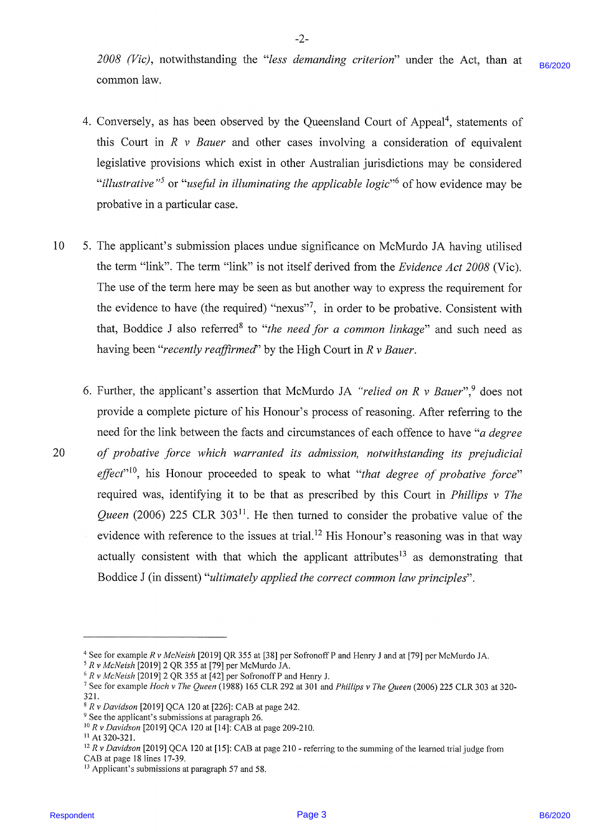2008 (Vic), notwithstanding the "less demanding criterion" under the Act, than at common law. B6/2020

. Conversely, as has been observed by the Queensland Court of Appeal\*, statements of this Court in R v Bauer and other cases involving a consideration of equivalent legislative provisions which exist in other Australian jurisdictions may be considered "illustrative"<sup>5</sup> or "useful in illuminating the applicable logic"<sup>6</sup> of how evidence may be probative in a particular case.

-2-

- $10$ The applicant's submission places undue significance on McMurdo JA having utilised the term "link". The term "link" is not itself derived from the Evidence Act 2008 (Vic). The use of the term here may be seen as but another way to express the requirement for the evidence to have (the required) "nexus"', in order to be probative. Consistent with that, Boddice J also referred<sup>8</sup> to "the need for a common linkage" and such need as having been "recently reaffirmed" by the High Court in  $R \nu$  Bauer.
	- 6. Further, the applicant's assertion that McMurdo JA "relied on  $R$  v Bauer",  $9$  does not provide a complete picture of his Honour's process of reasoning. After referring to the need for the link between the facts and circumstances of each offence to have "a degree
- Example 2020 B6/2020 B6/2020 B6/2020 B6/2020 B6/2020 B6/2020 B6/2020 B6/2020 B6/2020 B6/2020 B6/2020 B6/2020 B6/2020 B6/2020 B6/2020 B6/2020 B6/2020 B6/2020 B6/2020 B6/2020 B6/2020 B6/2020 B6/2020 B6/2020 B6/2020 B6/2020 20 of probative force which warranted its admission, notwithstanding its prejudicial effect"<sup>10</sup>, his Honour proceeded to speak to what "that degree of probative force" required was, identifying it to be that as prescribed by this Court in *Phillips v The* Queen (2006) 225 CLR 303<sup>11</sup>. He then turned to consider the probative value of the evidence with reference to the issues at trial.<sup>12</sup> His Honour's reasoning was in that way actually consistent with that which the applicant attributes<sup>13</sup> as demonstrating that Boddice <sup>J</sup> (in dissent) "ultimately applied the correct common law principles".

<sup>&</sup>lt;sup>4</sup> See for example R v McNeish [2019] QR 355 at [38] per Sofronoff P and Henry J and at [79] per McMurdo JA.

 $5 Rv$  McNeish [2019] 2 QR 355 at [79] per McMurdo JA.

 $6 Rv$  McNeish [2019] 2 QR 355 at [42] per Sofronoff P and Henry J.

<sup>&</sup>lt;sup>7</sup> See for example Hoch v The Queen (1988) 165 CLR 292 at 301 and Phillips v The Queen (2006) 225 CLR 303 at 320-321.

 $8 R v$  Davidson [2019] QCA 120 at [226]: CAB at page 242.

<sup>&</sup>lt;sup>9</sup> See the applicant's submissions at paragraph 26.

<sup>10</sup> R v Davidson [2019] QCA 120 at [14]: CAB at page 209-210.

 $11$  At 320-321.

<sup>&</sup>lt;sup>12</sup> R v Davidson [2019] QCA 120 at [15]: CAB at page 210 - referring to the summing of the learned trial judge from CAB at page 18 lines 17-39.

<sup>&</sup>lt;sup>13</sup> Applicant's submissions at paragraph 57 and 58.